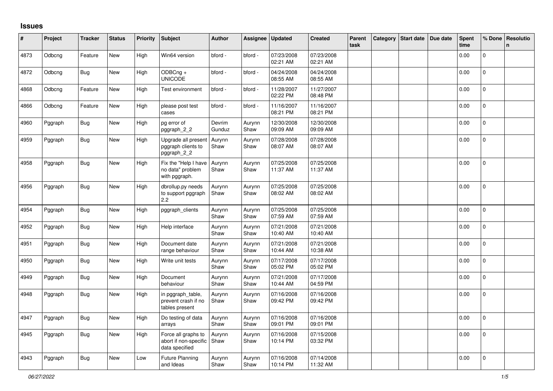## **Issues**

| #    | Project | <b>Tracker</b> | <b>Status</b> | <b>Priority</b> | <b>Subject</b>                                                 | <b>Author</b>    | Assignee       | <b>Updated</b>         | <b>Created</b>         | Parent<br>task | Category | Start date Due date | <b>Spent</b><br>time | % Done         | Resolutio<br>n. |
|------|---------|----------------|---------------|-----------------|----------------------------------------------------------------|------------------|----------------|------------------------|------------------------|----------------|----------|---------------------|----------------------|----------------|-----------------|
| 4873 | Odbcng  | Feature        | New           | High            | Win64 version                                                  | bford -          | bford -        | 07/23/2008<br>02:21 AM | 07/23/2008<br>02:21 AM |                |          |                     | 0.00                 | $\mathbf 0$    |                 |
| 4872 | Odbcng  | Bug            | New           | High            | ODBCng +<br><b>UNICODE</b>                                     | bford -          | bford -        | 04/24/2008<br>08:55 AM | 04/24/2008<br>08:55 AM |                |          |                     | 0.00                 | $\mathbf 0$    |                 |
| 4868 | Odbcng  | Feature        | New           | High            | Test environment                                               | bford -          | bford -        | 11/28/2007<br>02:22 PM | 11/27/2007<br>08:48 PM |                |          |                     | 0.00                 | $\pmb{0}$      |                 |
| 4866 | Odbcng  | Feature        | New           | High            | please post test<br>cases                                      | bford -          | bford -        | 11/16/2007<br>08:21 PM | 11/16/2007<br>08:21 PM |                |          |                     | 0.00                 | $\mathbf{0}$   |                 |
| 4960 | Pggraph | <b>Bug</b>     | New           | High            | pg error of<br>pggraph_2_2                                     | Devrim<br>Gunduz | Aurynn<br>Shaw | 12/30/2008<br>09:09 AM | 12/30/2008<br>09:09 AM |                |          |                     | 0.00                 | $\Omega$       |                 |
| 4959 | Pggraph | Bug            | New           | High            | Upgrade all present<br>pggraph clients to<br>pggraph_2_2       | Aurynn<br>Shaw   | Aurynn<br>Shaw | 07/28/2008<br>08:07 AM | 07/28/2008<br>08:07 AM |                |          |                     | 0.00                 | $\pmb{0}$      |                 |
| 4958 | Pggraph | <b>Bug</b>     | New           | High            | Fix the "Help I have<br>no data" problem<br>with pggraph.      | Aurynn<br>Shaw   | Aurynn<br>Shaw | 07/25/2008<br>11:37 AM | 07/25/2008<br>11:37 AM |                |          |                     | 0.00                 | $\Omega$       |                 |
| 4956 | Pggraph | <b>Bug</b>     | <b>New</b>    | High            | dbrollup.py needs<br>to support pggraph<br>2.2                 | Aurynn<br>Shaw   | Aurynn<br>Shaw | 07/25/2008<br>08:02 AM | 07/25/2008<br>08:02 AM |                |          |                     | 0.00                 | $\Omega$       |                 |
| 4954 | Pggraph | Bug            | New           | High            | pggraph_clients                                                | Aurynn<br>Shaw   | Aurynn<br>Shaw | 07/25/2008<br>07:59 AM | 07/25/2008<br>07:59 AM |                |          |                     | 0.00                 | $\mathbf 0$    |                 |
| 4952 | Pggraph | <b>Bug</b>     | New           | High            | Help interface                                                 | Aurynn<br>Shaw   | Aurynn<br>Shaw | 07/21/2008<br>10:40 AM | 07/21/2008<br>10:40 AM |                |          |                     | 0.00                 | 0              |                 |
| 4951 | Pggraph | <b>Bug</b>     | New           | High            | Document date<br>range behaviour                               | Aurynn<br>Shaw   | Aurynn<br>Shaw | 07/21/2008<br>10:44 AM | 07/21/2008<br>10:38 AM |                |          |                     | 0.00                 | $\mathbf 0$    |                 |
| 4950 | Pggraph | Bug            | New           | High            | Write unit tests                                               | Aurynn<br>Shaw   | Aurynn<br>Shaw | 07/17/2008<br>05:02 PM | 07/17/2008<br>05:02 PM |                |          |                     | 0.00                 | $\mathbf{0}$   |                 |
| 4949 | Pggraph | <b>Bug</b>     | New           | High            | Document<br>behaviour                                          | Aurynn<br>Shaw   | Aurynn<br>Shaw | 07/21/2008<br>10:44 AM | 07/17/2008<br>04:59 PM |                |          |                     | 0.00                 | $\mathbf 0$    |                 |
| 4948 | Pggraph | <b>Bug</b>     | New           | High            | in pggraph_table,<br>prevent crash if no<br>tables present     | Aurynn<br>Shaw   | Aurynn<br>Shaw | 07/16/2008<br>09:42 PM | 07/16/2008<br>09:42 PM |                |          |                     | 0.00                 | 0              |                 |
| 4947 | Pggraph | <b>Bug</b>     | New           | High            | Do testing of data<br>arrays                                   | Aurynn<br>Shaw   | Aurynn<br>Shaw | 07/16/2008<br>09:01 PM | 07/16/2008<br>09:01 PM |                |          |                     | 0.00                 | $\pmb{0}$      |                 |
| 4945 | Pggraph | Bug            | New           | High            | Force all graphs to<br>abort if non-specific<br>data specified | Aurynn<br>Shaw   | Aurynn<br>Shaw | 07/16/2008<br>10:14 PM | 07/15/2008<br>03:32 PM |                |          |                     | 0.00                 | $\overline{0}$ |                 |
| 4943 | Pggraph | <b>Bug</b>     | New           | Low             | <b>Future Planning</b><br>and Ideas                            | Aurynn<br>Shaw   | Aurynn<br>Shaw | 07/16/2008<br>10:14 PM | 07/14/2008<br>11:32 AM |                |          |                     | 0.00                 | 0              |                 |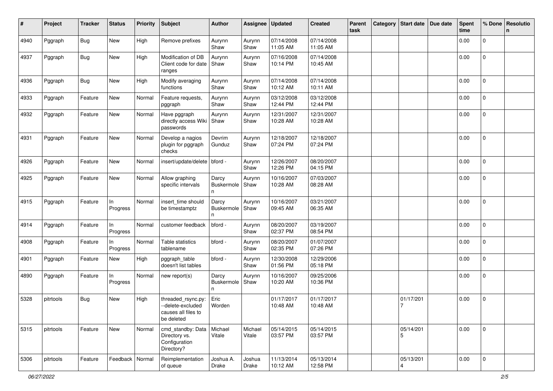| #    | Project   | <b>Tracker</b> | <b>Status</b>     | <b>Priority</b> | <b>Subject</b>                                                               | <b>Author</b>                   | <b>Assignee</b>   | <b>Updated</b>         | <b>Created</b>         | Parent<br>task | Category | Start date   Due date | Spent<br>time | % Done              | Resolutio<br>n |
|------|-----------|----------------|-------------------|-----------------|------------------------------------------------------------------------------|---------------------------------|-------------------|------------------------|------------------------|----------------|----------|-----------------------|---------------|---------------------|----------------|
| 4940 | Pggraph   | <b>Bug</b>     | New               | High            | Remove prefixes                                                              | Aurynn<br>Shaw                  | Aurynn<br>Shaw    | 07/14/2008<br>11:05 AM | 07/14/2008<br>11:05 AM |                |          |                       | 0.00          | 0                   |                |
| 4937 | Pggraph   | Bug            | New               | High            | Modification of DB<br>Client code for date<br>ranges                         | Aurynn<br>Shaw                  | Aurynn<br>Shaw    | 07/16/2008<br>10:14 PM | 07/14/2008<br>10:45 AM |                |          |                       | 0.00          | 0                   |                |
| 4936 | Pggraph   | <b>Bug</b>     | New               | High            | Modify averaging<br>functions                                                | Aurynn<br>Shaw                  | Aurynn<br>Shaw    | 07/14/2008<br>10:12 AM | 07/14/2008<br>10:11 AM |                |          |                       | 0.00          | $\mathbf 0$         |                |
| 4933 | Pggraph   | Feature        | New               | Normal          | Feature requests,<br>pggraph                                                 | Aurynn<br>Shaw                  | Aurynn<br>Shaw    | 03/12/2008<br>12:44 PM | 03/12/2008<br>12:44 PM |                |          |                       | 0.00          | 0                   |                |
| 4932 | Pggraph   | Feature        | New               | Normal          | Have pggraph<br>directly access Wiki<br>passwords                            | Aurynn<br>Shaw                  | Aurynn<br>Shaw    | 12/31/2007<br>10:28 AM | 12/31/2007<br>10:28 AM |                |          |                       | 0.00          | 0                   |                |
| 4931 | Pggraph   | Feature        | New               | Normal          | Develop a nagios<br>plugin for pggraph<br>checks                             | Devrim<br>Gunduz                | Aurynn<br>Shaw    | 12/18/2007<br>07:24 PM | 12/18/2007<br>07:24 PM |                |          |                       | 0.00          | $\mathbf 0$         |                |
| 4926 | Pggraph   | Feature        | New               | Normal          | insert/update/delete   bford -                                               |                                 | Aurynn<br>Shaw    | 12/26/2007<br>12:26 PM | 08/20/2007<br>04:15 PM |                |          |                       | 0.00          | 0                   |                |
| 4925 | Pggraph   | Feature        | New               | Normal          | Allow graphing<br>specific intervals                                         | Darcy<br>Buskermole<br>n        | Aurynn<br>Shaw    | 10/16/2007<br>10:28 AM | 07/03/2007<br>08:28 AM |                |          |                       | 0.00          | 0                   |                |
| 4915 | Pggraph   | Feature        | In<br>Progress    | Normal          | insert_time should<br>be timestamptz                                         | Darcy<br><b>Buskermole</b><br>n | Aurynn<br>Shaw    | 10/16/2007<br>09:45 AM | 03/21/2007<br>06:35 AM |                |          |                       | 0.00          | 0                   |                |
| 4914 | Pggraph   | Feature        | In<br>Progress    | Normal          | customer feedback                                                            | bford -                         | Aurynn<br>Shaw    | 08/20/2007<br>02:37 PM | 03/19/2007<br>08:54 PM |                |          |                       | 0.00          | 0                   |                |
| 4908 | Pggraph   | Feature        | In<br>Progress    | Normal          | Table statistics<br>tablename                                                | bford -                         | Aurynn<br>Shaw    | 08/20/2007<br>02:35 PM | 01/07/2007<br>07:26 PM |                |          |                       | 0.00          | $\overline{0}$      |                |
| 4901 | Pggraph   | Feature        | New               | High            | pggraph_table<br>doesn't list tables                                         | bford -                         | Aurynn<br>Shaw    | 12/30/2008<br>01:56 PM | 12/29/2006<br>05:18 PM |                |          |                       | 0.00          | 0                   |                |
| 4890 | Pggraph   | Feature        | In<br>Progress    | Normal          | new report(s)                                                                | Darcy<br>Buskermole<br>n        | Aurynn<br>Shaw    | 10/16/2007<br>10:20 AM | 09/25/2006<br>10:36 PM |                |          |                       | 0.00          | 0                   |                |
| 5328 | pitrtools | <b>Bug</b>     | New               | High            | threaded_rsync.py:<br>--delete-excluded<br>causes all files to<br>be deleted | Eric<br>Worden                  |                   | 01/17/2017<br>10:48 AM | 01/17/2017<br>10:48 AM |                |          | 01/17/201             | 0.00          | 0                   |                |
| 5315 | pitrtools | Feature        | New               | Normal          | cmd_standby: Data<br>Directory vs.<br>Configuration<br>Directory?            | Michael<br>Vitale               | Michael<br>Vitale | 05/14/2015<br>03:57 PM | 05/14/2015<br>03:57 PM |                |          | 05/14/201<br>5        | 0.00          | $\mathbf{0}$        |                |
| 5306 | pitrtools | Feature        | Feedback   Normal |                 | Reimplementation<br>of queue                                                 | Joshua A.<br>Drake              | Joshua<br>Drake   | 11/13/2014<br>10:12 AM | 05/13/2014<br>12:58 PM |                |          | 05/13/201<br>4        | 0.00          | $\mathsf{O}\xspace$ |                |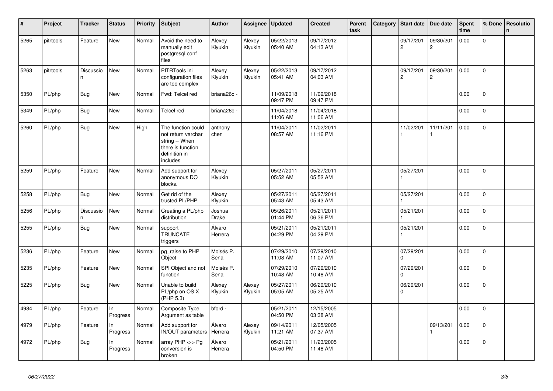| ∦    | Project   | <b>Tracker</b>  | <b>Status</b>  | <b>Priority</b> | <b>Subject</b>                                                                                               | <b>Author</b>          | Assignee          | <b>Updated</b>         | <b>Created</b>         | Parent<br>task | Category | <b>Start date</b>           | Due date                      | Spent<br>time | % Done         | Resolutio<br>$\mathbf n$ |
|------|-----------|-----------------|----------------|-----------------|--------------------------------------------------------------------------------------------------------------|------------------------|-------------------|------------------------|------------------------|----------------|----------|-----------------------------|-------------------------------|---------------|----------------|--------------------------|
| 5265 | pitrtools | Feature         | New            | Normal          | Avoid the need to<br>manually edit<br>postgresgl.conf<br>files                                               | Alexey<br>Klyukin      | Alexey<br>Klyukin | 05/22/2013<br>05:40 AM | 09/17/2012<br>04:13 AM |                |          | 09/17/201<br>$\overline{c}$ | 09/30/201<br>$\boldsymbol{2}$ | 0.00          | $\Omega$       |                          |
| 5263 | pitrtools | Discussio<br>n. | New            | Normal          | PITRTools ini<br>configuration files<br>are too complex                                                      | Alexey<br>Klyukin      | Alexey<br>Klyukin | 05/22/2013<br>05:41 AM | 09/17/2012<br>04:03 AM |                |          | 09/17/201<br>$\overline{c}$ | 09/30/201<br>2                | 0.00          | $\Omega$       |                          |
| 5350 | PL/php    | <b>Bug</b>      | <b>New</b>     | Normal          | Fwd: Telcel red                                                                                              | briana26c -            |                   | 11/09/2018<br>09:47 PM | 11/09/2018<br>09:47 PM |                |          |                             |                               | 0.00          | $\overline{0}$ |                          |
| 5349 | PL/php    | Bug             | <b>New</b>     | Normal          | Telcel red                                                                                                   | briana26c -            |                   | 11/04/2018<br>11:06 AM | 11/04/2018<br>11:06 AM |                |          |                             |                               | 0.00          | 0              |                          |
| 5260 | PL/php    | Bug             | New            | High            | The function could<br>not return varchar<br>string -- When<br>there is function<br>definition in<br>includes | anthony<br>chen        |                   | 11/04/2011<br>08:57 AM | 11/02/2011<br>11:16 PM |                |          | 11/02/201                   | 11/11/201                     | 0.00          | $\overline{0}$ |                          |
| 5259 | PL/php    | Feature         | New            | Normal          | Add support for<br>anonymous DO<br>blocks.                                                                   | Alexey<br>Klyukin      |                   | 05/27/2011<br>05:52 AM | 05/27/2011<br>05:52 AM |                |          | 05/27/201                   |                               | 0.00          | 0              |                          |
| 5258 | PL/php    | Bug             | <b>New</b>     | Normal          | Get rid of the<br>trusted PL/PHP                                                                             | Alexey<br>Klyukin      |                   | 05/27/2011<br>05:43 AM | 05/27/2011<br>05:43 AM |                |          | 05/27/201                   |                               | 0.00          | 0              |                          |
| 5256 | PL/php    | Discussio<br>n. | New            | Normal          | Creating a PL/php<br>distribution                                                                            | Joshua<br><b>Drake</b> |                   | 05/26/2011<br>01:44 PM | 05/21/2011<br>06:36 PM |                |          | 05/21/201                   |                               | 0.00          | 0              |                          |
| 5255 | PL/php    | Bug             | New            | Normal          | support<br><b>TRUNCATE</b><br>triggers                                                                       | Álvaro<br>Herrera      |                   | 05/21/2011<br>04:29 PM | 05/21/2011<br>04:29 PM |                |          | 05/21/201                   |                               | 0.00          | 0              |                          |
| 5236 | PL/php    | Feature         | <b>New</b>     | Normal          | pg_raise to PHP<br>Object                                                                                    | Moisés P.<br>Sena      |                   | 07/29/2010<br>11:08 AM | 07/29/2010<br>11:07 AM |                |          | 07/29/201<br>$\Omega$       |                               | 0.00          | $\overline{0}$ |                          |
| 5235 | PL/php    | Feature         | New            | Normal          | SPI Object and not<br>function                                                                               | Moisés P.<br>Sena      |                   | 07/29/2010<br>10:48 AM | 07/29/2010<br>10:48 AM |                |          | 07/29/201<br>$\Omega$       |                               | 0.00          | $\mathbf 0$    |                          |
| 5225 | PL/php    | Bug             | <b>New</b>     | Normal          | Unable to build<br>PL/php on OS X<br>(PHP 5.3)                                                               | Alexey<br>Klyukin      | Alexey<br>Klyukin | 05/27/2011<br>05:05 AM | 06/29/2010<br>05:25 AM |                |          | 06/29/201<br>0              |                               | 0.00          | $\overline{0}$ |                          |
| 4984 | PL/php    | Feature         | In<br>Progress | Normal          | Composite Type<br>Argument as table                                                                          | bford -                |                   | 05/21/2011<br>04:50 PM | 12/15/2005<br>03:38 AM |                |          |                             |                               | 0.00          | $\mathbf 0$    |                          |
| 4979 | PL/php    | Feature         | In<br>Progress | Normal          | Add support for<br>IN/OUT parameters                                                                         | Álvaro<br>Herrera      | Alexey<br>Klyukin | 09/14/2011<br>11:21 AM | 12/05/2005<br>07:37 AM |                |          |                             | 09/13/201                     | 0.00          | 0              |                          |
| 4972 | PL/php    | <b>Bug</b>      | In<br>Progress | Normal          | array PHP <-> Pg<br>conversion is<br>broken                                                                  | Álvaro<br>Herrera      |                   | 05/21/2011<br>04:50 PM | 11/23/2005<br>11:48 AM |                |          |                             |                               | 0.00          | $\Omega$       |                          |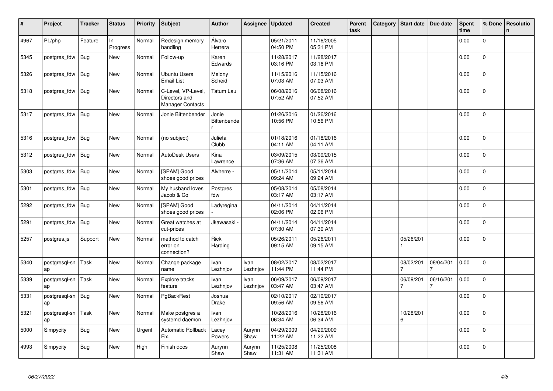| $\sharp$ | Project             | <b>Tracker</b> | <b>Status</b>  | <b>Priority</b> | <b>Subject</b>                                          | <b>Author</b>                    | Assignee         | <b>Updated</b>         | <b>Created</b>         | <b>Parent</b><br>task | Category | <b>Start date</b> | Due date  | <b>Spent</b><br>time | % Done         | Resolutio<br>$\mathsf{n}$ |
|----------|---------------------|----------------|----------------|-----------------|---------------------------------------------------------|----------------------------------|------------------|------------------------|------------------------|-----------------------|----------|-------------------|-----------|----------------------|----------------|---------------------------|
| 4967     | PL/php              | Feature        | ln<br>Progress | Normal          | Redesign memory<br>handling                             | Álvaro<br>Herrera                |                  | 05/21/2011<br>04:50 PM | 11/16/2005<br>05:31 PM |                       |          |                   |           | 0.00                 | $\mathbf 0$    |                           |
| 5345     | postgres_fdw        | <b>Bug</b>     | <b>New</b>     | Normal          | Follow-up                                               | Karen<br>Edwards                 |                  | 11/28/2017<br>03:16 PM | 11/28/2017<br>03:16 PM |                       |          |                   |           | 0.00                 | $\mathsf{O}$   |                           |
| 5326     | postgres_fdw        | <b>Bug</b>     | <b>New</b>     | Normal          | Ubuntu Users<br>Email List                              | Melony<br>Scheid                 |                  | 11/15/2016<br>07:03 AM | 11/15/2016<br>07:03 AM |                       |          |                   |           | 0.00                 | $\overline{0}$ |                           |
| 5318     | postgres_fdw        | Bug            | New            | Normal          | C-Level, VP-Level,<br>Directors and<br>Manager Contacts | Tatum Lau                        |                  | 06/08/2016<br>07:52 AM | 06/08/2016<br>07:52 AM |                       |          |                   |           | 0.00                 | $\Omega$       |                           |
| 5317     | postgres_fdw        | Bug            | <b>New</b>     | Normal          | Jonie Bittenbender                                      | Jonie<br><b>Bittenbende</b><br>r |                  | 01/26/2016<br>10:56 PM | 01/26/2016<br>10:56 PM |                       |          |                   |           | 0.00                 | $\Omega$       |                           |
| 5316     | postgres fdw        | <b>Bug</b>     | <b>New</b>     | Normal          | (no subject)                                            | Julieta<br>Clubb                 |                  | 01/18/2016<br>04:11 AM | 01/18/2016<br>04:11 AM |                       |          |                   |           | 0.00                 | 0              |                           |
| 5312     | postgres_fdw        | <b>Bug</b>     | <b>New</b>     | Normal          | AutoDesk Users                                          | Kina<br>Lawrence                 |                  | 03/09/2015<br>07:36 AM | 03/09/2015<br>07:36 AM |                       |          |                   |           | 0.00                 | $\Omega$       |                           |
| 5303     | postgres_fdw        | <b>Bug</b>     | New            | Normal          | [SPAM] Good<br>shoes good prices                        | Alvherre -                       |                  | 05/11/2014<br>09:24 AM | 05/11/2014<br>09:24 AM |                       |          |                   |           | 0.00                 | $\mathbf 0$    |                           |
| 5301     | postgres fdw        | Bug            | New            | Normal          | My husband loves<br>Jacob & Co                          | Postgres<br>fdw                  |                  | 05/08/2014<br>03:17 AM | 05/08/2014<br>03:17 AM |                       |          |                   |           | 0.00                 | 0              |                           |
| 5292     | postgres fdw        | Bug            | <b>New</b>     | Normal          | [SPAM] Good<br>shoes good prices                        | Ladyregina                       |                  | 04/11/2014<br>02:06 PM | 04/11/2014<br>02:06 PM |                       |          |                   |           | 0.00                 | $\Omega$       |                           |
| 5291     | postgres fdw        | <b>Bug</b>     | <b>New</b>     | Normal          | Great watches at<br>cut-prices                          | Jkawasaki -                      |                  | 04/11/2014<br>07:30 AM | 04/11/2014<br>07:30 AM |                       |          |                   |           | 0.00                 | $\Omega$       |                           |
| 5257     | postgres.js         | Support        | New            | Normal          | method to catch<br>error on<br>connection?              | <b>Rick</b><br>Harding           |                  | 05/26/2011<br>09:15 AM | 05/26/2011<br>09:15 AM |                       |          | 05/26/201         |           | 0.00                 | 0              |                           |
| 5340     | postgresql-sn<br>ap | Task           | <b>New</b>     | Normal          | Change package<br>name                                  | Ivan<br>Lezhnjov                 | Ivan<br>Lezhnjov | 08/02/2017<br>11:44 PM | 08/02/2017<br>11:44 PM |                       |          | 08/02/201         | 08/04/201 | 0.00                 | $\mathbf 0$    |                           |
| 5339     | postgresql-sn<br>ap | Task           | <b>New</b>     | Normal          | Explore tracks<br>feature                               | Ivan<br>Lezhnjov                 | Ivan<br>Lezhnjov | 06/09/2017<br>03:47 AM | 06/09/2017<br>03:47 AM |                       |          | 06/09/201         | 06/16/201 | 0.00                 | $\mathbf{0}$   |                           |
| 5331     | postgresql-sn<br>ap | <b>Bug</b>     | <b>New</b>     | Normal          | PgBackRest                                              | Joshua<br><b>Drake</b>           |                  | 02/10/2017<br>09:56 AM | 02/10/2017<br>09:56 AM |                       |          |                   |           | 0.00                 | $\Omega$       |                           |
| 5321     | postgresql-sn<br>ap | Task           | New            | Normal          | Make postgres a<br>systemd daemon                       | Ivan<br>Lezhnjov                 |                  | 10/28/2016<br>06:34 AM | 10/28/2016<br>06:34 AM |                       |          | 10/28/201<br>6    |           | 0.00                 | $\mathbf 0$    |                           |
| 5000     | Simpycity           | Bug            | New            | Urgent          | <b>Automatic Rollback</b><br>Fix.                       | Lacey<br>Powers                  | Aurynn<br>Shaw   | 04/29/2009<br>11:22 AM | 04/29/2009<br>11:22 AM |                       |          |                   |           | 0.00                 | $\overline{0}$ |                           |
| 4993     | Simpycity           | Bug            | New            | High            | Finish docs                                             | Aurynn<br>Shaw                   | Aurynn<br>Shaw   | 11/25/2008<br>11:31 AM | 11/25/2008<br>11:31 AM |                       |          |                   |           | 0.00                 | 0              |                           |